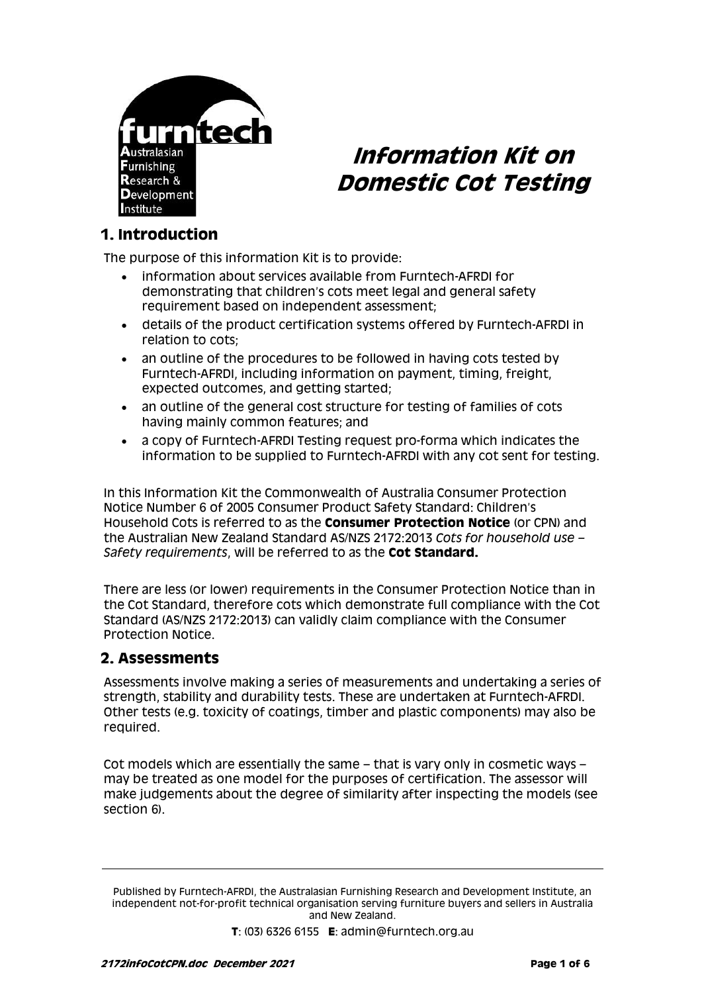

# **Information Kit on Domestic Cot Testing**

# **1. Introduction**

The purpose of this information Kit is to provide:

- information about services available from Furntech-AFRDI for demonstrating that children's cots meet legal and general safety requirement based on independent assessment;
- details of the product certification systems offered by Furntech-AFRDI in relation to cots;
- an outline of the procedures to be followed in having cots tested by Furntech-AFRDI, including information on payment, timing, freight, expected outcomes, and getting started;
- an outline of the general cost structure for testing of families of cots having mainly common features; and
- a copy of Furntech-AFRDI Testing request pro-forma which indicates the information to be supplied to Furntech-AFRDI with any cot sent for testing.

In this Information Kit the Commonwealth of Australia Consumer Protection Notice Number 6 of 2005 Consumer Product Safety Standard: Children's Household Cots is referred to as the **Consumer Protection Notice** (or CPN) and the Australian New Zealand Standard AS/NZS 2172:2013 *Cots for household use – Safety requirements*, will be referred to as the **Cot Standard.**

There are less (or lower) requirements in the Consumer Protection Notice than in the Cot Standard, therefore cots which demonstrate full compliance with the Cot Standard (AS/NZS 2172:2013) can validly claim compliance with the Consumer Protection Notice.

## **2. Assessments**

Assessments involve making a series of measurements and undertaking a series of strength, stability and durability tests. These are undertaken at Furntech-AFRDI. Other tests (e.g. toxicity of coatings, timber and plastic components) may also be required.

Cot models which are essentially the same – that is vary only in cosmetic ways – may be treated as one model for the purposes of certification. The assessor will make judgements about the degree of similarity after inspecting the models (see section 6).

Published by Furntech-AFRDI, the Australasian Furnishing Research and Development Institute, an independent not-for-profit technical organisation serving furniture buyers and sellers in Australia and New Zealand.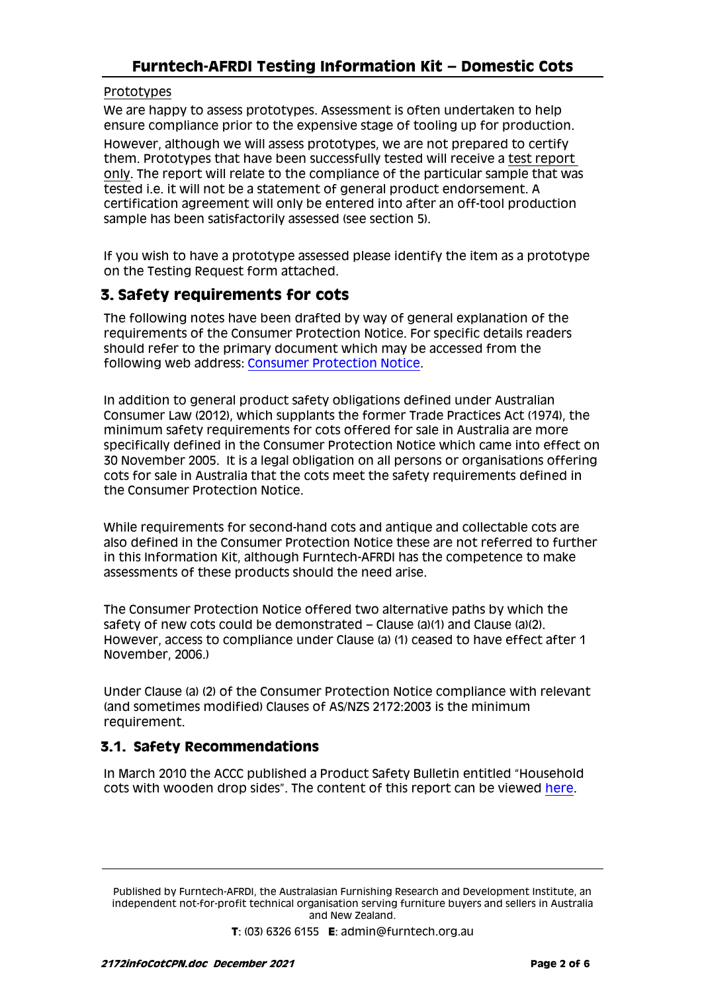#### Prototypes

We are happy to assess prototypes. Assessment is often undertaken to help ensure compliance prior to the expensive stage of tooling up for production. However, although we will assess prototypes, we are not prepared to certify them. Prototypes that have been successfully tested will receive a test report only. The report will relate to the compliance of the particular sample that was tested i.e. it will not be a statement of general product endorsement. A certification agreement will only be entered into after an off-tool production sample has been satisfactorily assessed (see section 5).

If you wish to have a prototype assessed please identify the item as a prototype on the Testing Request form attached.

# **3. Safety requirements for cots**

The following notes have been drafted by way of general explanation of the requirements of the Consumer Protection Notice. For specific details readers should refer to the primary document which may be accessed from the following web address: [Consumer Protection Notice.](http://www.comlaw.gov.au/ComLaw/Legislation/LegislativeInstrument1.nsf/0/E757AC364B803C67CA2570CA001D9CBB?OpenDocument)

In addition to general product safety obligations defined under Australian Consumer Law (2012), which supplants the former Trade Practices Act (1974), the minimum safety requirements for cots offered for sale in Australia are more specifically defined in the Consumer Protection Notice which came into effect on 30 November 2005. It is a legal obligation on all persons or organisations offering cots for sale in Australia that the cots meet the safety requirements defined in the Consumer Protection Notice.

While requirements for second-hand cots and antique and collectable cots are also defined in the Consumer Protection Notice these are not referred to further in this Information Kit, although Furntech-AFRDI has the competence to make assessments of these products should the need arise.

The Consumer Protection Notice offered two alternative paths by which the safety of new cots could be demonstrated – Clause (a)(1) and Clause (a)(2). However, access to compliance under Clause (a) (1) ceased to have effect after 1 November, 2006.)

Under Clause (a) (2) of the Consumer Protection Notice compliance with relevant (and sometimes modified) Clauses of AS/NZS 2172:2003 is the minimum requirement.

#### **3.1. Safety Recommendations**

In March 2010 the ACCC published a Product Safety Bulletin entitled "Household cots with wooden drop sides". The content of this report can be viewed [here.](https://www.accc.gov.au/system/files/Household%20cots%20with%20wooden%20drop%20sides%20-%20bulletin.pdf)

Published by Furntech-AFRDI, the Australasian Furnishing Research and Development Institute, an independent not-for-profit technical organisation serving furniture buyers and sellers in Australia and New Zealand.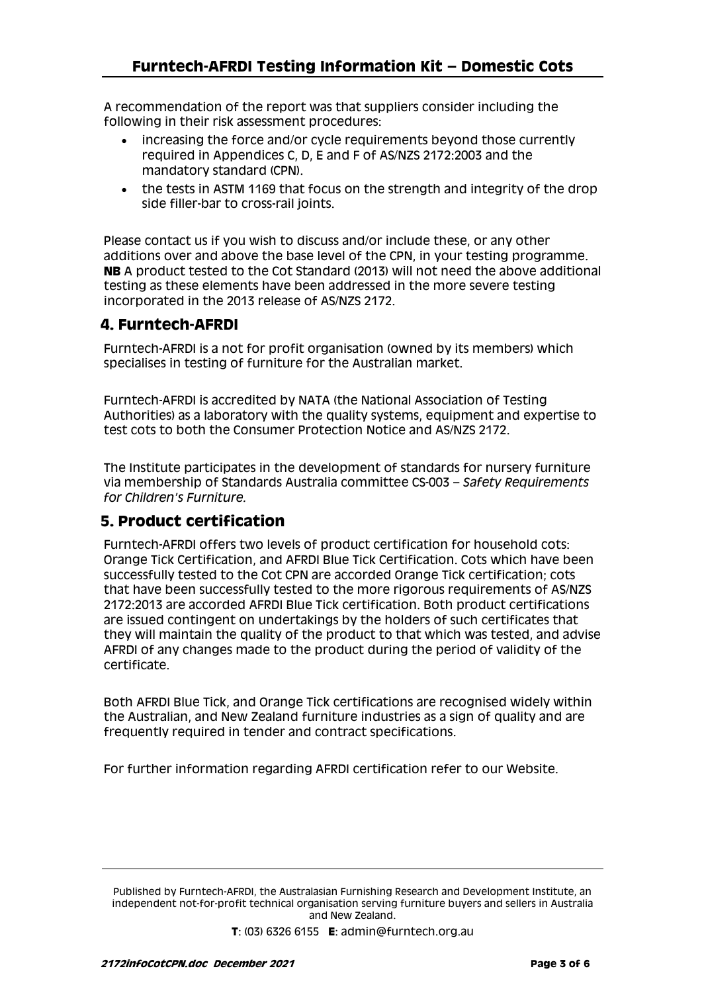A recommendation of the report was that suppliers consider including the following in their risk assessment procedures:

- increasing the force and/or cycle requirements beyond those currently required in Appendices C, D, E and F of AS/NZS 2172:2003 and the mandatory standard (CPN).
- the tests in ASTM 1169 that focus on the strength and integrity of the drop side filler-bar to cross-rail joints.

Please contact us if you wish to discuss and/or include these, or any other additions over and above the base level of the CPN, in your testing programme. **NB** A product tested to the Cot Standard (2013) will not need the above additional testing as these elements have been addressed in the more severe testing incorporated in the 2013 release of AS/NZS 2172.

## **4. Furntech-AFRDI**

Furntech-AFRDI is a not for profit organisation (owned by its members) which specialises in testing of furniture for the Australian market.

Furntech-AFRDI is accredited by NATA (the National Association of Testing Authorities) as a laboratory with the quality systems, equipment and expertise to test cots to both the Consumer Protection Notice and AS/NZS 2172.

The Institute participates in the development of standards for nursery furniture via membership of Standards Australia committee CS-003 – *Safety Requirements for Children's Furniture.* 

## **5. Product certification**

Furntech-AFRDI offers two levels of product certification for household cots: Orange Tick Certification, and AFRDI Blue Tick Certification. Cots which have been successfully tested to the Cot CPN are accorded Orange Tick certification; cots that have been successfully tested to the more rigorous requirements of AS/NZS 2172:2013 are accorded AFRDI Blue Tick certification. Both product certifications are issued contingent on undertakings by the holders of such certificates that they will maintain the quality of the product to that which was tested, and advise AFRDI of any changes made to the product during the period of validity of the certificate.

Both AFRDI Blue Tick, and Orange Tick certifications are recognised widely within the Australian, and New Zealand furniture industries as a sign of quality and are frequently required in tender and contract specifications.

For further information regarding AFRDI certification refer to our Website.

Published by Furntech-AFRDI, the Australasian Furnishing Research and Development Institute, an independent not-for-profit technical organisation serving furniture buyers and sellers in Australia and New Zealand.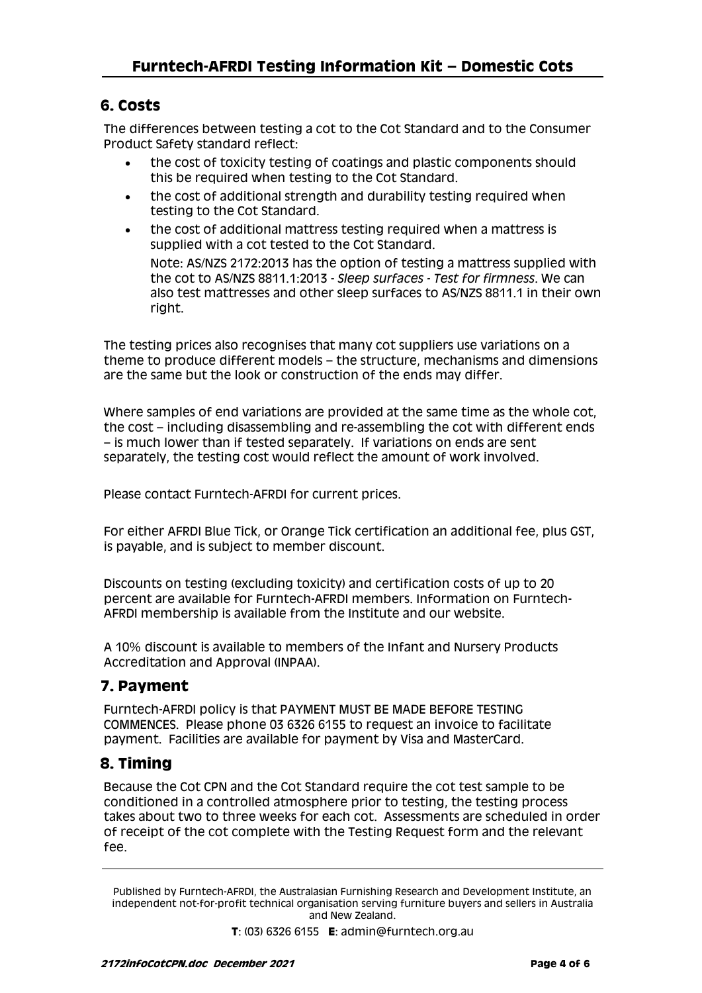# **6. Costs**

The differences between testing a cot to the Cot Standard and to the Consumer Product Safety standard reflect:

- the cost of toxicity testing of coatings and plastic components should this be required when testing to the Cot Standard.
- the cost of additional strength and durability testing required when testing to the Cot Standard.
- the cost of additional mattress testing required when a mattress is supplied with a cot tested to the Cot Standard. Note: AS/NZS 2172:2013 has the option of testing a mattress supplied with the cot to AS/NZS 8811.1:2013 - *Sleep surfaces - Test for firmness*. We can also test mattresses and other sleep surfaces to AS/NZS 8811.1 in their own right.

The testing prices also recognises that many cot suppliers use variations on a theme to produce different models – the structure, mechanisms and dimensions are the same but the look or construction of the ends may differ.

Where samples of end variations are provided at the same time as the whole cot, the cost – including disassembling and re-assembling the cot with different ends – is much lower than if tested separately. If variations on ends are sent separately, the testing cost would reflect the amount of work involved.

Please contact Furntech-AFRDI for current prices.

For either AFRDI Blue Tick, or Orange Tick certification an additional fee, plus GST, is payable, and is subject to member discount.

Discounts on testing (excluding toxicity) and certification costs of up to 20 percent are available for Furntech-AFRDI members. Information on Furntech-AFRDI membership is available from the Institute and our website.

A 10% discount is available to members of the Infant and Nursery Products Accreditation and Approval (INPAA).

# **7. Payment**

Furntech-AFRDI policy is that PAYMENT MUST BE MADE BEFORE TESTING COMMENCES. Please phone 03 6326 6155 to request an invoice to facilitate payment. Facilities are available for payment by Visa and MasterCard.

# **8. Timing**

Because the Cot CPN and the Cot Standard require the cot test sample to be conditioned in a controlled atmosphere prior to testing, the testing process takes about two to three weeks for each cot. Assessments are scheduled in order of receipt of the cot complete with the Testing Request form and the relevant fee.

Published by Furntech-AFRDI, the Australasian Furnishing Research and Development Institute, an independent not-for-profit technical organisation serving furniture buyers and sellers in Australia and New Zealand.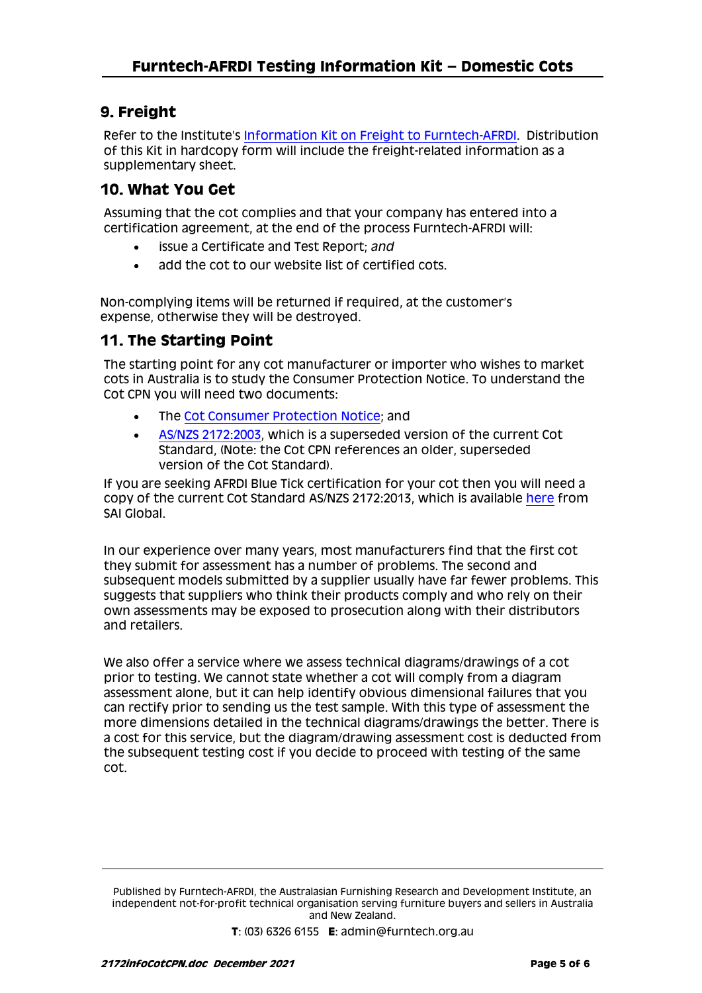# **9. Freight**

Refer to the Institute's [Information Kit on Freight to Furntech-AFRDI.](http://furntech.org.au/pdf/index.php?dir=Corporate/&file=FreightInfo.pdf) Distribution of this Kit in hardcopy form will include the freight-related information as a supplementary sheet.

# **10. What You Get**

Assuming that the cot complies and that your company has entered into a certification agreement, at the end of the process Furntech-AFRDI will:

- issue a Certificate and Test Report; *and*
- add the cot to our website list of certified cots.

Non-complying items will be returned if required, at the customer's expense, otherwise they will be destroyed.

# **11. The Starting Point**

The starting point for any cot manufacturer or importer who wishes to market cots in Australia is to study the Consumer Protection Notice. To understand the Cot CPN you will need two documents:

- The [Cot Consumer Protection Notice;](https://infostore.saiglobal.com/en-au/Standards/AS-NZS-2172-2003-117339_SAIG_AS_AS_245564/?source=predictive) and
- [AS/NZS 2172:2003,](https://infostore.saiglobal.com/en-au/Standards/AS-NZS-2172-2003-117339_SAIG_AS_AS_245564/?source=predictive) which is a superseded version of the current Cot Standard, (Note: the Cot CPN references an older, superseded version of the Cot Standard).

If you are seeking AFRDI Blue Tick certification for your cot then you will need a copy of the current Cot Standard AS/NZS 2172:2013, which is available [here](https://infostore.saiglobal.com/en-au/Standards/AS-NZS-2172-2013-117339_SAIG_AS_AS_251571/) from SAI Global.

In our experience over many years, most manufacturers find that the first cot they submit for assessment has a number of problems. The second and subsequent models submitted by a supplier usually have far fewer problems. This suggests that suppliers who think their products comply and who rely on their own assessments may be exposed to prosecution along with their distributors and retailers.

We also offer a service where we assess technical diagrams/drawings of a cot prior to testing. We cannot state whether a cot will comply from a diagram assessment alone, but it can help identify obvious dimensional failures that you can rectify prior to sending us the test sample. With this type of assessment the more dimensions detailed in the technical diagrams/drawings the better. There is a cost for this service, but the diagram/drawing assessment cost is deducted from the subsequent testing cost if you decide to proceed with testing of the same cot.

Published by Furntech-AFRDI, the Australasian Furnishing Research and Development Institute, an independent not-for-profit technical organisation serving furniture buyers and sellers in Australia and New Zealand.

**T**: (03) 6326 6155 **E**: admin@furntech.org.au